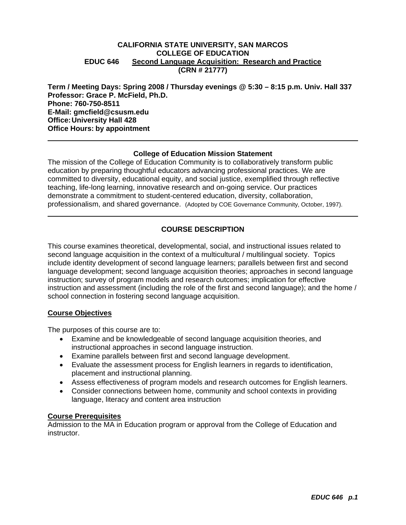## **CALIFORNIA STATE UNIVERSITY, SAN MARCOS COLLEGE OF EDUCATION EDUC 646 Second Language Acquisition: Research and Practice (CRN # 21777)**

**Term / Meeting Days: Spring 2008 / Thursday evenings @ 5:30 – 8:15 p.m. Univ. Hall 337 Professor: Grace P. McField, Ph.D. Phone: 760-750-8511 E-Mail: gmcfield@csusm.edu Office: University Hall 428 Office Hours: by appointment** 

## **College of Education Mission Statement**

The mission of the College of Education Community is to collaboratively transform public education by preparing thoughtful educators advancing professional practices. We are committed to diversity, educational equity, and social justice, exemplified through reflective teaching, life-long learning, innovative research and on-going service. Our practices demonstrate a commitment to student-centered education, diversity, collaboration, professionalism, and shared governance. (Adopted by COE Governance Community, October, 1997).

## **COURSE DESCRIPTION**

This course examines theoretical, developmental, social, and instructional issues related to second language acquisition in the context of a multicultural / multilingual society. Topics include identity development of second language learners; parallels between first and second language development; second language acquisition theories; approaches in second language instruction; survey of program models and research outcomes; implication for effective instruction and assessment (including the role of the first and second language); and the home / school connection in fostering second language acquisition.

## **Course Objectives**

The purposes of this course are to:

- Examine and be knowledgeable of second language acquisition theories, and instructional approaches in second language instruction.
- Examine parallels between first and second language development.
- Evaluate the assessment process for English learners in regards to identification, placement and instructional planning.
- Assess effectiveness of program models and research outcomes for English learners.
- Consider connections between home, community and school contexts in providing language, literacy and content area instruction

## **Course Prerequisites**

Admission to the MA in Education program or approval from the College of Education and instructor.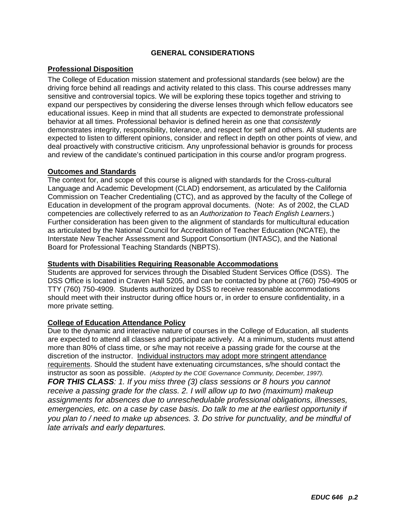## **GENERAL CONSIDERATIONS**

## **Professional Disposition**

The College of Education mission statement and professional standards (see below) are the driving force behind all readings and activity related to this class. This course addresses many sensitive and controversial topics. We will be exploring these topics together and striving to expand our perspectives by considering the diverse lenses through which fellow educators see educational issues. Keep in mind that all students are expected to demonstrate professional behavior at all times. Professional behavior is defined herein as one that *consistently* demonstrates integrity, responsibility, tolerance, and respect for self and others. All students are expected to listen to different opinions, consider and reflect in depth on other points of view, and deal proactively with constructive criticism. Any unprofessional behavior is grounds for process and review of the candidate's continued participation in this course and/or program progress.

## **Outcomes and Standards**

The context for, and scope of this course is aligned with standards for the Cross-cultural Language and Academic Development (CLAD) endorsement, as articulated by the California Commission on Teacher Credentialing (CTC), and as approved by the faculty of the College of Education in development of the program approval documents. (Note: As of 2002, the CLAD competencies are collectively referred to as an *Authorization to Teach English Learners*.) Further consideration has been given to the alignment of standards for multicultural education as articulated by the National Council for Accreditation of Teacher Education (NCATE), the Interstate New Teacher Assessment and Support Consortium (INTASC), and the National Board for Professional Teaching Standards (NBPTS).

## **Students with Disabilities Requiring Reasonable Accommodations**

Students are approved for services through the Disabled Student Services Office (DSS). The DSS Office is located in Craven Hall 5205, and can be contacted by phone at (760) 750-4905 or TTY (760) 750-4909. Students authorized by DSS to receive reasonable accommodations should meet with their instructor during office hours or, in order to ensure confidentiality, in a more private setting.

## **College of Education Attendance Policy**

Due to the dynamic and interactive nature of courses in the College of Education, all students are expected to attend all classes and participate actively. At a minimum, students must attend more than 80% of class time, or s/he may not receive a passing grade for the course at the discretion of the instructor. Individual instructors may adopt more stringent attendance requirements. Should the student have extenuating circumstances, s/he should contact the instructor as soon as possible. *(Adopted by the COE Governance Community, December, 1997). FOR THIS CLASS: 1. If you miss three (3) class sessions or 8 hours you cannot receive a passing grade for the class. 2. I will allow up to two (maximum) makeup assignments for absences due to unreschedulable professional obligations, illnesses, emergencies, etc. on a case by case basis. Do talk to me at the earliest opportunity if you plan to / need to make up absences. 3. Do strive for punctuality, and be mindful of late arrivals and early departures.*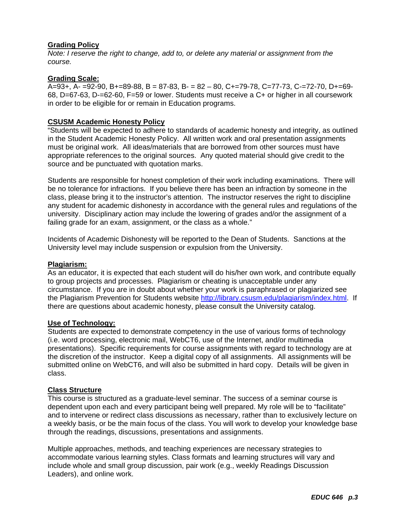## **Grading Policy**

*Note: I reserve the right to change, add to, or delete any material or assignment from the course.* 

## **Grading Scale:**

A=93+, A- =92-90, B+=89-88, B = 87-83, B- = 82 – 80, C+=79-78, C=77-73, C-=72-70, D+=69- 68, D=67-63, D-=62-60, F=59 or lower. Students must receive a C+ or higher in all coursework in order to be eligible for or remain in Education programs.

## **CSUSM Academic Honesty Policy**

"Students will be expected to adhere to standards of academic honesty and integrity, as outlined in the Student Academic Honesty Policy. All written work and oral presentation assignments must be original work. All ideas/materials that are borrowed from other sources must have appropriate references to the original sources. Any quoted material should give credit to the source and be punctuated with quotation marks.

Students are responsible for honest completion of their work including examinations. There will be no tolerance for infractions. If you believe there has been an infraction by someone in the class, please bring it to the instructor's attention. The instructor reserves the right to discipline any student for academic dishonesty in accordance with the general rules and regulations of the university. Disciplinary action may include the lowering of grades and/or the assignment of a failing grade for an exam, assignment, or the class as a whole."

Incidents of Academic Dishonesty will be reported to the Dean of Students. Sanctions at the University level may include suspension or expulsion from the University.

## **Plagiarism:**

As an educator, it is expected that each student will do his/her own work, and contribute equally to group projects and processes. Plagiarism or cheating is unacceptable under any circumstance. If you are in doubt about whether your work is paraphrased or plagiarized see the Plagiarism Prevention for Students website http://library.csusm.edu/plagiarism/index.html. If there are questions about academic honesty, please consult the University catalog.

## **Use of Technology:**

Students are expected to demonstrate competency in the use of various forms of technology (i.e. word processing, electronic mail, WebCT6, use of the Internet, and/or multimedia presentations). Specific requirements for course assignments with regard to technology are at the discretion of the instructor. Keep a digital copy of all assignments. All assignments will be submitted online on WebCT6, and will also be submitted in hard copy. Details will be given in class.

## **Class Structure**

This course is structured as a graduate-level seminar. The success of a seminar course is dependent upon each and every participant being well prepared. My role will be to "facilitate" and to intervene or redirect class discussions as necessary, rather than to exclusively lecture on a weekly basis, or be the main focus of the class. You will work to develop your knowledge base through the readings, discussions, presentations and assignments.

Multiple approaches, methods, and teaching experiences are necessary strategies to accommodate various learning styles. Class formats and learning structures will vary and include whole and small group discussion, pair work (e.g., weekly Readings Discussion Leaders), and online work.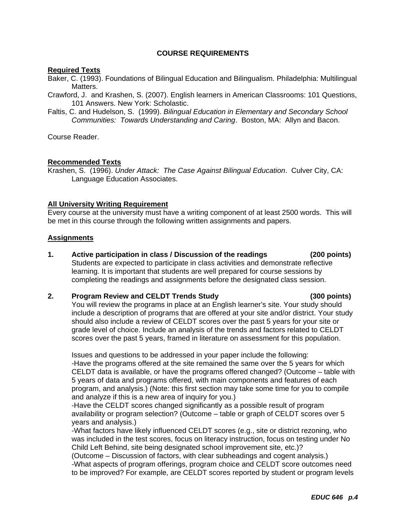## **COURSE REQUIREMENTS**

## **Required Texts**

Baker, C. (1993). Foundations of Bilingual Education and Bilingualism. Philadelphia: Multilingual Matters.

Crawford, J. and Krashen, S. (2007). English learners in American Classrooms: 101 Questions, 101 Answers. New York: Scholastic.

Faltis, C. and Hudelson, S. (1999). *Bilingual Education in Elementary and Secondary School Communities: Towards Understanding and Caring*. Boston, MA: Allyn and Bacon.

Course Reader.

## **Recommended Texts**

Krashen, S. (1996). *Under Attack: The Case Against Bilingual Education*. Culver City, CA: Language Education Associates.

## **All University Writing Requirement**

Every course at the university must have a writing component of at least 2500 words. This will be met in this course through the following written assignments and papers.

## **Assignments**

**1. Active participation in class / Discussion of the readings (200 points)**  Students are expected to participate in class activities and demonstrate reflective learning. It is important that students are well prepared for course sessions by completing the readings and assignments before the designated class session.

## **2. Program Review and CELDT Trends Study (300 points)**

You will review the programs in place at an English learner's site. Your study should include a description of programs that are offered at your site and/or district. Your study should also include a review of CELDT scores over the past 5 years for your site or grade level of choice. Include an analysis of the trends and factors related to CELDT scores over the past 5 years, framed in literature on assessment for this population.

Issues and questions to be addressed in your paper include the following: -Have the programs offered at the site remained the same over the 5 years for which CELDT data is available, or have the programs offered changed? (Outcome – table with 5 years of data and programs offered, with main components and features of each program, and analysis.) (Note: this first section may take some time for you to compile and analyze if this is a new area of inquiry for you.)

-Have the CELDT scores changed significantly as a possible result of program availability or program selection? (Outcome – table or graph of CELDT scores over 5 years and analysis.)

-What factors have likely influenced CELDT scores (e.g., site or district rezoning, who was included in the test scores, focus on literacy instruction, focus on testing under No Child Left Behind, site being designated school improvement site, etc.)?

(Outcome – Discussion of factors, with clear subheadings and cogent analysis.) -What aspects of program offerings, program choice and CELDT score outcomes need to be improved? For example, are CELDT scores reported by student or program levels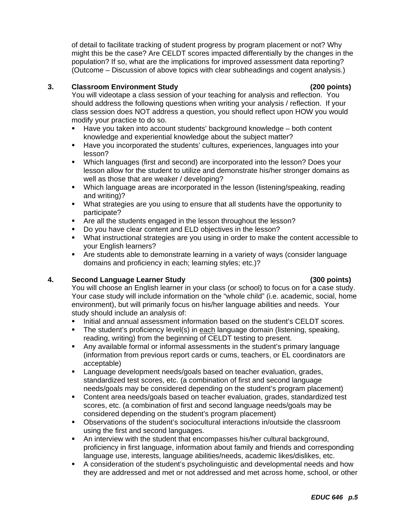of detail to facilitate tracking of student progress by program placement or not? Why might this be the case? Are CELDT scores impacted differentially by the changes in the population? If so, what are the implications for improved assessment data reporting? (Outcome – Discussion of above topics with clear subheadings and cogent analysis.)

## **3. Classroom Environment Study (200 points)**

You will videotape a class session of your teaching for analysis and reflection. You should address the following questions when writing your analysis / reflection. If your class session does NOT address a question, you should reflect upon HOW you would modify your practice to do so.

- Have you taken into account students' background knowledge both content knowledge and experiential knowledge about the subject matter?
- Have you incorporated the students' cultures, experiences, languages into your lesson?
- Which languages (first and second) are incorporated into the lesson? Does your lesson allow for the student to utilize and demonstrate his/her stronger domains as well as those that are weaker / developing?
- Which language areas are incorporated in the lesson (listening/speaking, reading and writing)?
- What strategies are you using to ensure that all students have the opportunity to participate?
- Are all the students engaged in the lesson throughout the lesson?
- Do you have clear content and ELD objectives in the lesson?
- What instructional strategies are you using in order to make the content accessible to your English learners?
- Are students able to demonstrate learning in a variety of ways (consider language domains and proficiency in each; learning styles; etc.)?

## **4. Second Language Learner Study (300 points)**

You will choose an English learner in your class (or school) to focus on for a case study. Your case study will include information on the "whole child" (i.e. academic, social, home environment), but will primarily focus on his/her language abilities and needs. Your study should include an analysis of:

- Initial and annual assessment information based on the student's CELDT scores.
- The student's proficiency level(s) in each language domain (listening, speaking, reading, writing) from the beginning of CELDT testing to present.
- Any available formal or informal assessments in the student's primary language (information from previous report cards or cums, teachers, or EL coordinators are acceptable)
- **Language development needs/goals based on teacher evaluation, grades,** standardized test scores, etc. (a combination of first and second language needs/goals may be considered depending on the student's program placement)
- Content area needs/goals based on teacher evaluation, grades, standardized test scores, etc. (a combination of first and second language needs/goals may be considered depending on the student's program placement)
- Observations of the student's sociocultural interactions in/outside the classroom using the first and second languages.
- An interview with the student that encompasses his/her cultural background, proficiency in first language, information about family and friends and corresponding language use, interests, language abilities/needs, academic likes/dislikes, etc.
- A consideration of the student's psycholinguistic and developmental needs and how they are addressed and met or not addressed and met across home, school, or other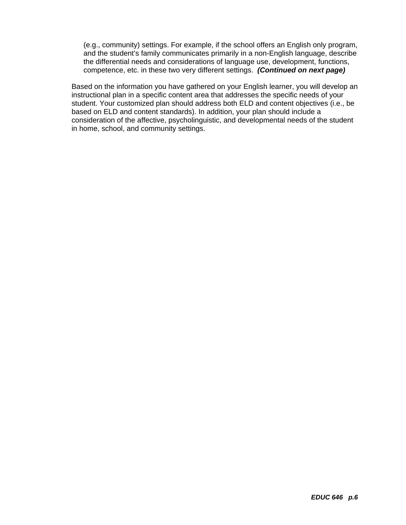(e.g., community) settings. For example, if the school offers an English only program, and the student's family communicates primarily in a non-English language, describe the differential needs and considerations of language use, development, functions, competence, etc. in these two very different settings. *(Continued on next page)* 

Based on the information you have gathered on your English learner, you will develop an instructional plan in a specific content area that addresses the specific needs of your student. Your customized plan should address both ELD and content objectives (i.e., be based on ELD and content standards). In addition, your plan should include a consideration of the affective, psycholinguistic, and developmental needs of the student in home, school, and community settings.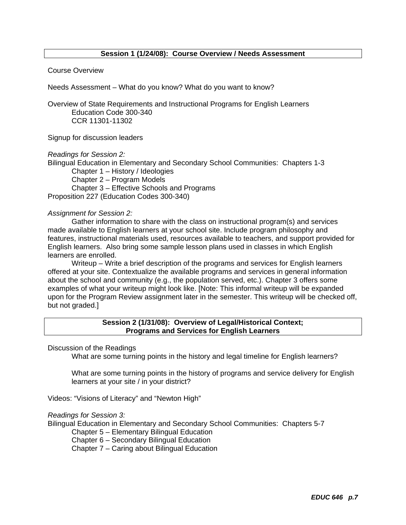## **Session 1 (1/24/08): Course Overview / Needs Assessment**

#### Course Overview

Needs Assessment – What do you know? What do you want to know?

Overview of State Requirements and Instructional Programs for English Learners Education Code 300-340 CCR 11301-11302

Signup for discussion leaders

*Readings for Session 2:* 

Bilingual Education in Elementary and Secondary School Communities: Chapters 1-3

 Chapter 1 – History / Ideologies Chapter 2 – Program Models Chapter 3 – Effective Schools and Programs Proposition 227 (Education Codes 300-340)

## *Assignment for Session 2:*

 Gather information to share with the class on instructional program(s) and services made available to English learners at your school site. Include program philosophy and features, instructional materials used, resources available to teachers, and support provided for English learners. Also bring some sample lesson plans used in classes in which English learners are enrolled.

 Writeup – Write a brief description of the programs and services for English learners offered at your site. Contextualize the available programs and services in general information about the school and community (e.g., the population served, etc.). Chapter 3 offers some examples of what your writeup might look like. [Note: This informal writeup will be expanded upon for the Program Review assignment later in the semester. This writeup will be checked off, but not graded.]

## **Session 2 (1/31/08): Overview of Legal/Historical Context; Programs and Services for English Learners**

Discussion of the Readings

What are some turning points in the history and legal timeline for English learners?

What are some turning points in the history of programs and service delivery for English learners at your site / in your district?

Videos: "Visions of Literacy" and "Newton High"

## *Readings for Session 3:*

Bilingual Education in Elementary and Secondary School Communities: Chapters 5-7

Chapter 5 – Elementary Bilingual Education

Chapter 6 – Secondary Bilingual Education

Chapter 7 – Caring about Bilingual Education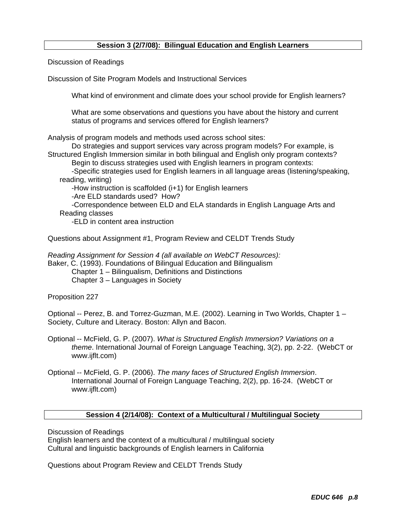## **Session 3 (2/7/08): Bilingual Education and English Learners**

Discussion of Readings

Discussion of Site Program Models and Instructional Services

What kind of environment and climate does your school provide for English learners?

What are some observations and questions you have about the history and current status of programs and services offered for English learners?

Analysis of program models and methods used across school sites:

 Do strategies and support services vary across program models? For example, is Structured English Immersion similar in both bilingual and English only program contexts?

Begin to discuss strategies used with English learners in program contexts:

-Specific strategies used for English learners in all language areas (listening/speaking, reading, writing)

-How instruction is scaffolded (i+1) for English learners

-Are ELD standards used? How?

-Correspondence between ELD and ELA standards in English Language Arts and Reading classes

-ELD in content area instruction

Questions about Assignment #1, Program Review and CELDT Trends Study

*Reading Assignment for Session 4 (all available on WebCT Resources):*

Baker, C. (1993). Foundations of Bilingual Education and Bilingualism

Chapter 1 – Bilingualism, Definitions and Distinctions Chapter 3 – Languages in Society

Proposition 227

Optional -- Perez, B. and Torrez-Guzman, M.E. (2002). Learning in Two Worlds, Chapter 1 – Society, Culture and Literacy. Boston: Allyn and Bacon.

- Optional -- McField, G. P. (2007). *What is Structured English Immersion? Variations on a theme*. International Journal of Foreign Language Teaching, 3(2), pp. 2-22. (WebCT or www.ijflt.com)
- Optional -- McField, G. P. (2006). *The many faces of Structured English Immersion*. International Journal of Foreign Language Teaching, 2(2), pp. 16-24. (WebCT or www.ijflt.com)

#### **Session 4 (2/14/08): Context of a Multicultural / Multilingual Society**

Discussion of Readings

English learners and the context of a multicultural / multilingual society Cultural and linguistic backgrounds of English learners in California

Questions about Program Review and CELDT Trends Study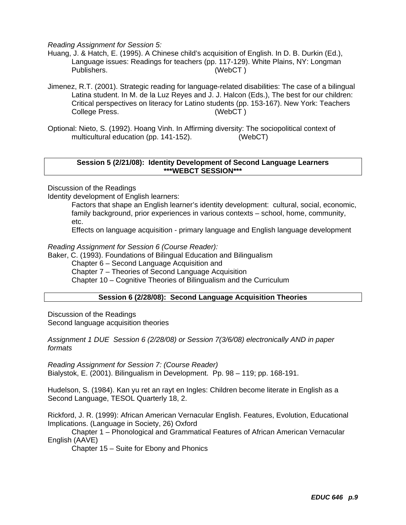*Reading Assignment for Session 5:* 

- Huang, J. & Hatch, E. (1995). A Chinese child's acquisition of English. In D. B. Durkin (Ed.), Language issues: Readings for teachers (pp. 117-129). White Plains, NY: Longman Publishers. (WebCT )
- Jimenez, R.T. (2001). Strategic reading for language-related disabilities: The case of a bilingual Latina student. In M. de la Luz Reyes and J. J. Halcon (Eds.), The best for our children: Critical perspectives on literacy for Latino students (pp. 153-167). New York: Teachers College Press. (WebCT )
- Optional: Nieto, S. (1992). Hoang Vinh. In Affirming diversity: The sociopolitical context of multicultural education (pp. 141-152). (WebCT)

#### **Session 5 (2/21/08): Identity Development of Second Language Learners \*\*\*WEBCT SESSION\*\*\***

Discussion of the Readings

Identity development of English learners:

Factors that shape an English learner's identity development: cultural, social, economic, family background, prior experiences in various contexts – school, home, community, etc.

Effects on language acquisition - primary language and English language development

*Reading Assignment for Session 6 (Course Reader):* 

Baker, C. (1993). Foundations of Bilingual Education and Bilingualism

Chapter 6 – Second Language Acquisition and

Chapter 7 – Theories of Second Language Acquisition

Chapter 10 – Cognitive Theories of Bilingualism and the Curriculum

## **Session 6 (2/28/08): Second Language Acquisition Theories**

Discussion of the Readings Second language acquisition theories

*Assignment 1 DUE Session 6 (2/28/08) or Session 7(3/6/08) electronically AND in paper formats* 

*Reading Assignment for Session 7: (Course Reader)* Bialystok, E. (2001). Bilingualism in Development. Pp. 98 – 119; pp. 168-191.

Hudelson, S. (1984). Kan yu ret an rayt en Ingles: Children become literate in English as a Second Language, TESOL Quarterly 18, 2.

Rickford, J. R. (1999): African American Vernacular English. Features, Evolution, Educational Implications. (Language in Society, 26) Oxford

 Chapter 1 – Phonological and Grammatical Features of African American Vernacular English (AAVE)

Chapter 15 – Suite for Ebony and Phonics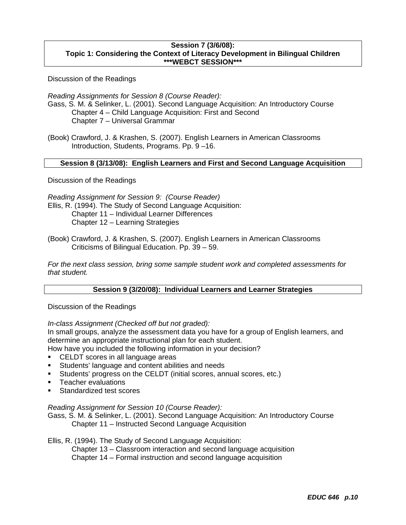## **Session 7 (3/6/08): Topic 1: Considering the Context of Literacy Development in Bilingual Children \*\*\*WEBCT SESSION\*\*\***

Discussion of the Readings

*Reading Assignments for Session 8 (Course Reader):* Gass, S. M. & Selinker, L. (2001). Second Language Acquisition: An Introductory Course Chapter 4 – Child Language Acquisition: First and Second Chapter 7 – Universal Grammar

(Book) Crawford, J. & Krashen, S. (2007). English Learners in American Classrooms Introduction, Students, Programs. Pp. 9 –16.

## **Session 8 (3/13/08): English Learners and First and Second Language Acquisition**

Discussion of the Readings

*Reading Assignment for Session 9: (Course Reader)* Ellis, R. (1994). The Study of Second Language Acquisition: Chapter 11 – Individual Learner Differences Chapter 12 – Learning Strategies

(Book) Crawford, J. & Krashen, S. (2007). English Learners in American Classrooms Criticisms of Bilingual Education. Pp. 39 – 59.

*For the next class session, bring some sample student work and completed assessments for that student.* 

## **Session 9 (3/20/08): Individual Learners and Learner Strategies**

Discussion of the Readings

*In-class Assignment (Checked off but not graded):* 

In small groups, analyze the assessment data you have for a group of English learners, and determine an appropriate instructional plan for each student.

How have you included the following information in your decision?

- **CELDT** scores in all language areas
- **Students' language and content abilities and needs**
- Students' progress on the CELDT (initial scores, annual scores, etc.)
- **Teacher evaluations**
- **Standardized test scores**

## *Reading Assignment for Session 10 (Course Reader):*

Gass, S. M. & Selinker, L. (2001). Second Language Acquisition: An Introductory Course Chapter 11 – Instructed Second Language Acquisition

## Ellis, R. (1994). The Study of Second Language Acquisition:

Chapter 13 – Classroom interaction and second language acquisition

Chapter 14 – Formal instruction and second language acquisition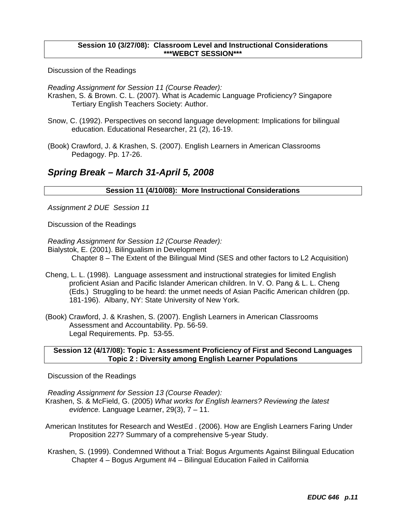## **Session 10 (3/27/08): Classroom Level and Instructional Considerations \*\*\*WEBCT SESSION\*\*\***

Discussion of the Readings

*Reading Assignment for Session 11 (Course Reader):*

- Krashen, S. & Brown. C. L. (2007). What is Academic Language Proficiency? Singapore Tertiary English Teachers Society: Author.
- Snow, C. (1992). Perspectives on second language development: Implications for bilingual education. Educational Researcher, 21 (2), 16-19.
- (Book) Crawford, J. & Krashen, S. (2007). English Learners in American Classrooms Pedagogy. Pp. 17-26.

# *Spring Break – March 31-April 5, 2008*

## **Session 11 (4/10/08): More Instructional Considerations**

*Assignment 2 DUE Session 11*

Discussion of the Readings

*Reading Assignment for Session 12 (Course Reader):*

Bialystok, E. (2001). Bilingualism in Development

Chapter 8 – The Extent of the Bilingual Mind (SES and other factors to L2 Acquisition)

- Cheng, L. L. (1998). Language assessment and instructional strategies for limited English proficient Asian and Pacific Islander American children. In V. O. Pang & L. L. Cheng (Eds.) Struggling to be heard: the unmet needs of Asian Pacific American children (pp. 181-196). Albany, NY: State University of New York.
- (Book) Crawford, J. & Krashen, S. (2007). English Learners in American Classrooms Assessment and Accountability. Pp. 56-59. Legal Requirements. Pp. 53-55.

## **Session 12 (4/17/08): Topic 1: Assessment Proficiency of First and Second Languages Topic 2 : Diversity among English Learner Populations**

Discussion of the Readings

*Reading Assignment for Session 13 (Course Reader):*  Krashen, S. & McField, G. (2005) *What works for English learners? Reviewing the latest evidence.* Language Learner, 29(3), 7 – 11.

- American Institutes for Research and WestEd . (2006). How are English Learners Faring Under Proposition 227? Summary of a comprehensive 5-year Study.
- Krashen, S. (1999). Condemned Without a Trial: Bogus Arguments Against Bilingual Education Chapter 4 – Bogus Argument #4 – Bilingual Education Failed in California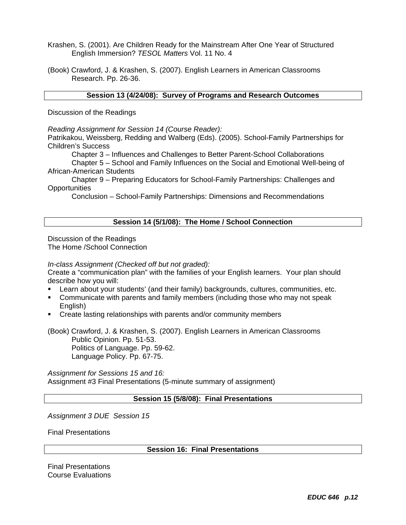- Krashen, S. (2001). Are Children Ready for the Mainstream After One Year of Structured English Immersion? *TESOL Matters* Vol. 11 No. 4
- (Book) Crawford, J. & Krashen, S. (2007). English Learners in American Classrooms Research. Pp. 26-36.

## **Session 13 (4/24/08): Survey of Programs and Research Outcomes**

Discussion of the Readings

*Reading Assignment for Session 14 (Course Reader):* 

Patrikakou, Weissberg, Redding and Walberg (Eds). (2005). School-Family Partnerships for Children's Success

Chapter 3 – Influences and Challenges to Better Parent-School Collaborations

 Chapter 5 – School and Family Influences on the Social and Emotional Well-being of African-American Students

 Chapter 9 – Preparing Educators for School-Family Partnerships: Challenges and **Opportunities** 

Conclusion – School-Family Partnerships: Dimensions and Recommendations

## **Session 14 (5/1/08): The Home / School Connection**

Discussion of the Readings The Home /School Connection

*In-class Assignment (Checked off but not graded):* 

Create a "communication plan" with the families of your English learners. Your plan should describe how you will:

- Learn about your students' (and their family) backgrounds, cultures, communities, etc.
- Communicate with parents and family members (including those who may not speak English)
- **Create lasting relationships with parents and/or community members**

(Book) Crawford, J. & Krashen, S. (2007). English Learners in American Classrooms Public Opinion. Pp. 51-53. Politics of Language. Pp. 59-62. Language Policy. Pp. 67-75.

*Assignment for Sessions 15 and 16:*  Assignment #3 Final Presentations (5-minute summary of assignment)

## **Session 15 (5/8/08): Final Presentations**

*Assignment 3 DUE Session 15*

Final Presentations

**Session 16: Final Presentations** 

Final Presentations Course Evaluations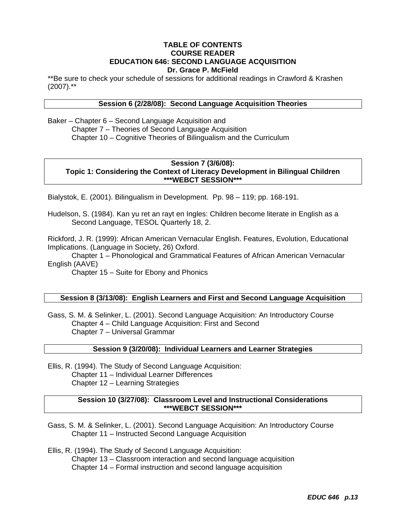## **TABLE OF CONTENTS COURSE READER EDUCATION 646: SECOND LANGUAGE ACQUISITION Dr. Grace P. McField**

\*\*Be sure to check your schedule of sessions for additional readings in Crawford & Krashen  $(2007).$ \*\*

## **Session 6 (2/28/08): Second Language Acquisition Theories**

Baker – Chapter 6 – Second Language Acquisition and Chapter 7 – Theories of Second Language Acquisition Chapter 10 – Cognitive Theories of Bilingualism and the Curriculum

#### **Session 7 (3/6/08): Topic 1: Considering the Context of Literacy Development in Bilingual Children \*\*\*WEBCT SESSION\*\*\***

Bialystok, E. (2001). Bilingualism in Development. Pp. 98 – 119; pp. 168-191.

Hudelson, S. (1984). Kan yu ret an rayt en Ingles: Children become literate in English as a Second Language, TESOL Quarterly 18, 2.

Rickford, J. R. (1999): African American Vernacular English. Features, Evolution, Educational Implications. (Language in Society, 26) Oxford.

 Chapter 1 – Phonological and Grammatical Features of African American Vernacular English (AAVE)

Chapter 15 – Suite for Ebony and Phonics

## **Session 8 (3/13/08): English Learners and First and Second Language Acquisition**

Gass, S. M. & Selinker, L. (2001). Second Language Acquisition: An Introductory Course Chapter 4 – Child Language Acquisition: First and Second Chapter 7 – Universal Grammar

#### **Session 9 (3/20/08): Individual Learners and Learner Strategies**

Ellis, R. (1994). The Study of Second Language Acquisition: Chapter 11 – Individual Learner Differences Chapter 12 – Learning Strategies

#### **Session 10 (3/27/08): Classroom Level and Instructional Considerations \*\*\*WEBCT SESSION\*\*\***

Gass, S. M. & Selinker, L. (2001). Second Language Acquisition: An Introductory Course Chapter 11 – Instructed Second Language Acquisition

Ellis, R. (1994). The Study of Second Language Acquisition:

Chapter 13 – Classroom interaction and second language acquisition

Chapter 14 – Formal instruction and second language acquisition